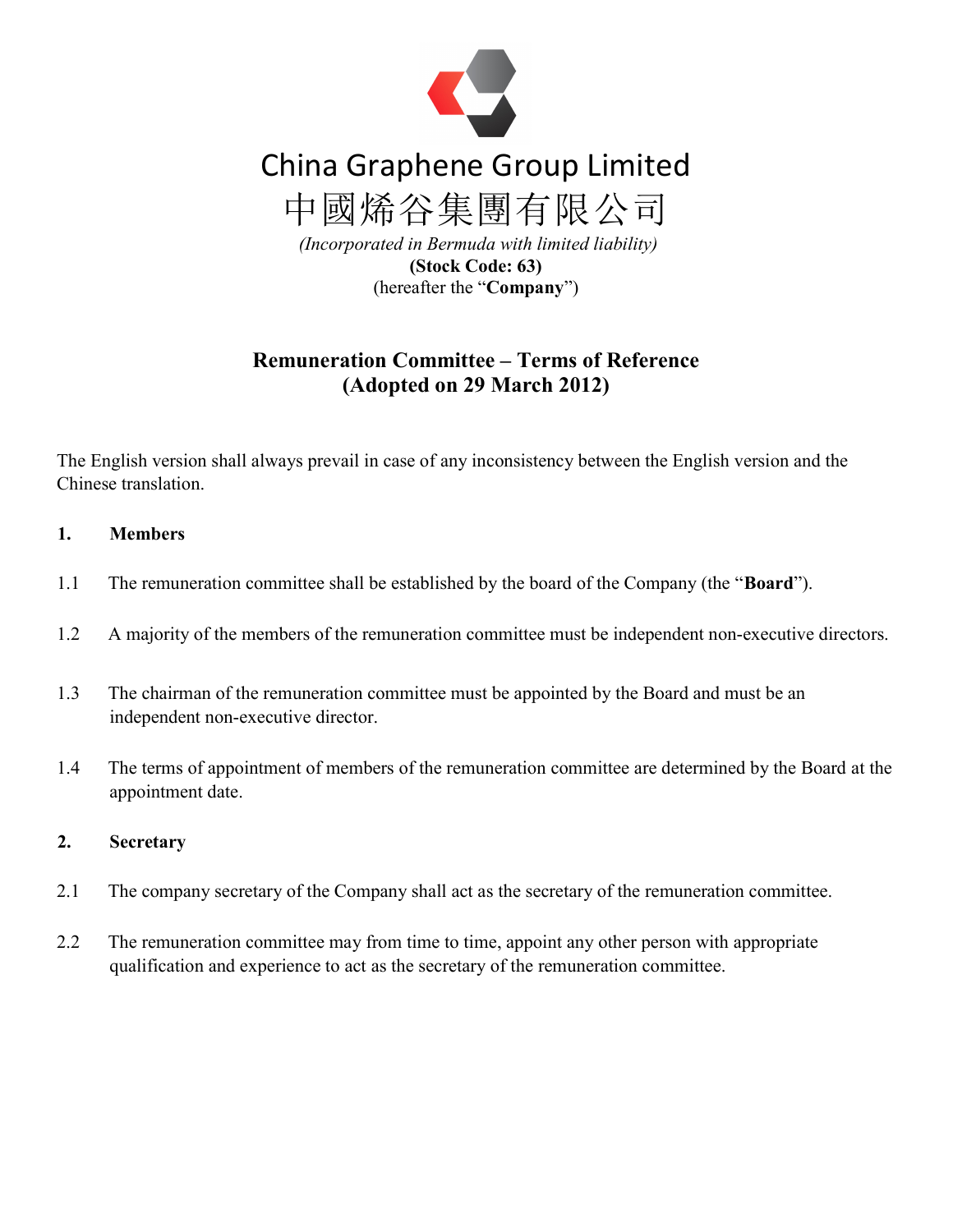

# China Graphene Group Limited

中國烯谷集團有限公司

 (Incorporated in Bermuda with limited liability) (Stock Code: 63) (hereafter the "Company")

# Remuneration Committee – Terms of Reference (Adopted on 29 March 2012)

The English version shall always prevail in case of any inconsistency between the English version and the Chinese translation.

# 1. Members

- 1.1 The remuneration committee shall be established by the board of the Company (the "**Board**").
- 1.2 A majority of the members of the remuneration committee must be independent non-executive directors.
- 1.3 The chairman of the remuneration committee must be appointed by the Board and must be an independent non-executive director.
- 1.4 The terms of appointment of members of the remuneration committee are determined by the Board at the appointment date.

## 2. Secretary

- 2.1 The company secretary of the Company shall act as the secretary of the remuneration committee.
- 2.2 The remuneration committee may from time to time, appoint any other person with appropriate qualification and experience to act as the secretary of the remuneration committee.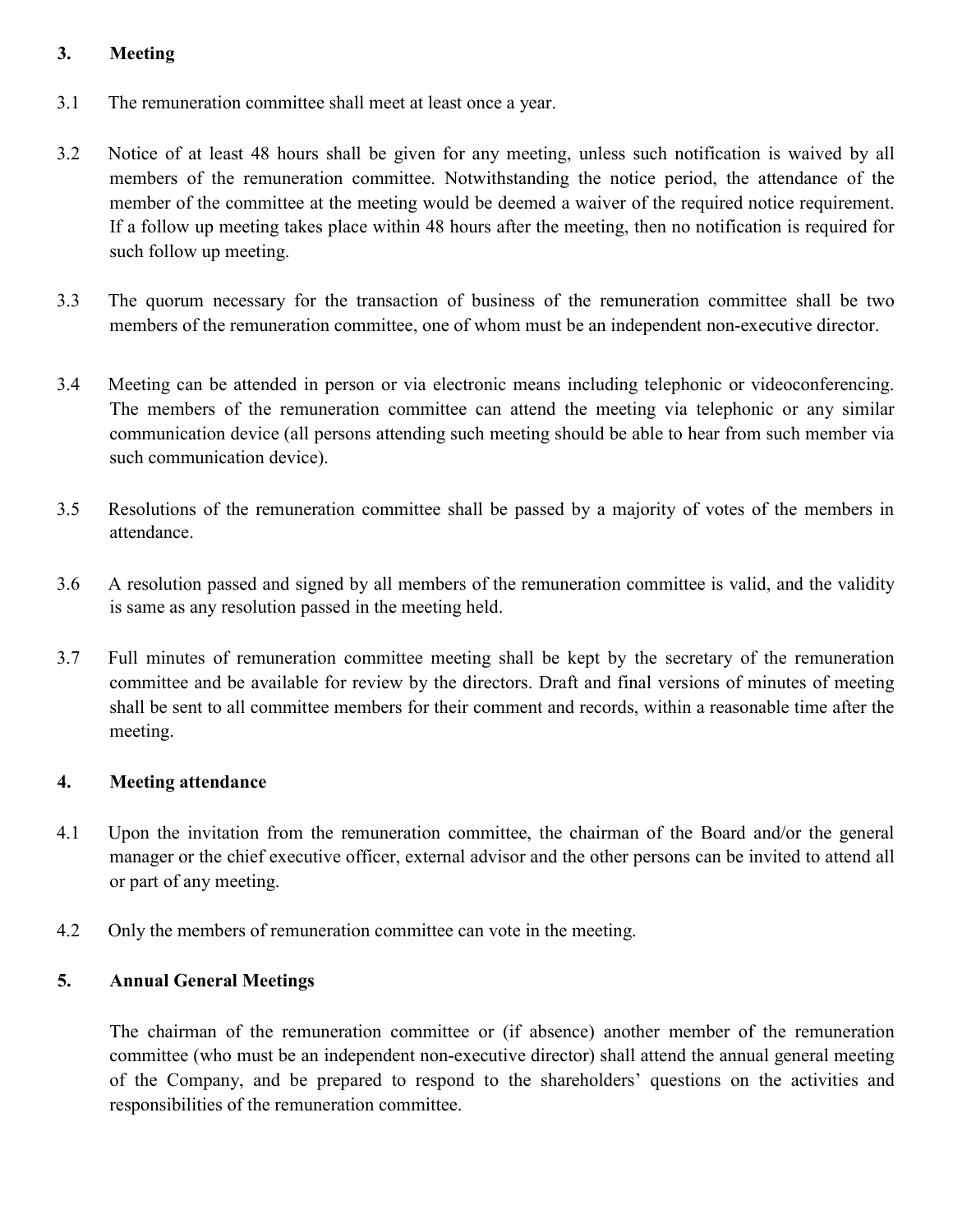## 3. Meeting

- 3.1 The remuneration committee shall meet at least once a year.
- 3.2 Notice of at least 48 hours shall be given for any meeting, unless such notification is waived by all members of the remuneration committee. Notwithstanding the notice period, the attendance of the member of the committee at the meeting would be deemed a waiver of the required notice requirement. If a follow up meeting takes place within 48 hours after the meeting, then no notification is required for such follow up meeting.
- 3.3 The quorum necessary for the transaction of business of the remuneration committee shall be two members of the remuneration committee, one of whom must be an independent non-executive director.
- 3.4 Meeting can be attended in person or via electronic means including telephonic or videoconferencing. The members of the remuneration committee can attend the meeting via telephonic or any similar communication device (all persons attending such meeting should be able to hear from such member via such communication device).
- 3.5 Resolutions of the remuneration committee shall be passed by a majority of votes of the members in attendance.
- 3.6 A resolution passed and signed by all members of the remuneration committee is valid, and the validity is same as any resolution passed in the meeting held.
- 3.7 Full minutes of remuneration committee meeting shall be kept by the secretary of the remuneration committee and be available for review by the directors. Draft and final versions of minutes of meeting shall be sent to all committee members for their comment and records, within a reasonable time after the meeting.

## 4. Meeting attendance

- 4.1 Upon the invitation from the remuneration committee, the chairman of the Board and/or the general manager or the chief executive officer, external advisor and the other persons can be invited to attend all or part of any meeting.
- 4.2 Only the members of remuneration committee can vote in the meeting.

## 5. Annual General Meetings

The chairman of the remuneration committee or (if absence) another member of the remuneration committee (who must be an independent non-executive director) shall attend the annual general meeting of the Company, and be prepared to respond to the shareholders' questions on the activities and responsibilities of the remuneration committee.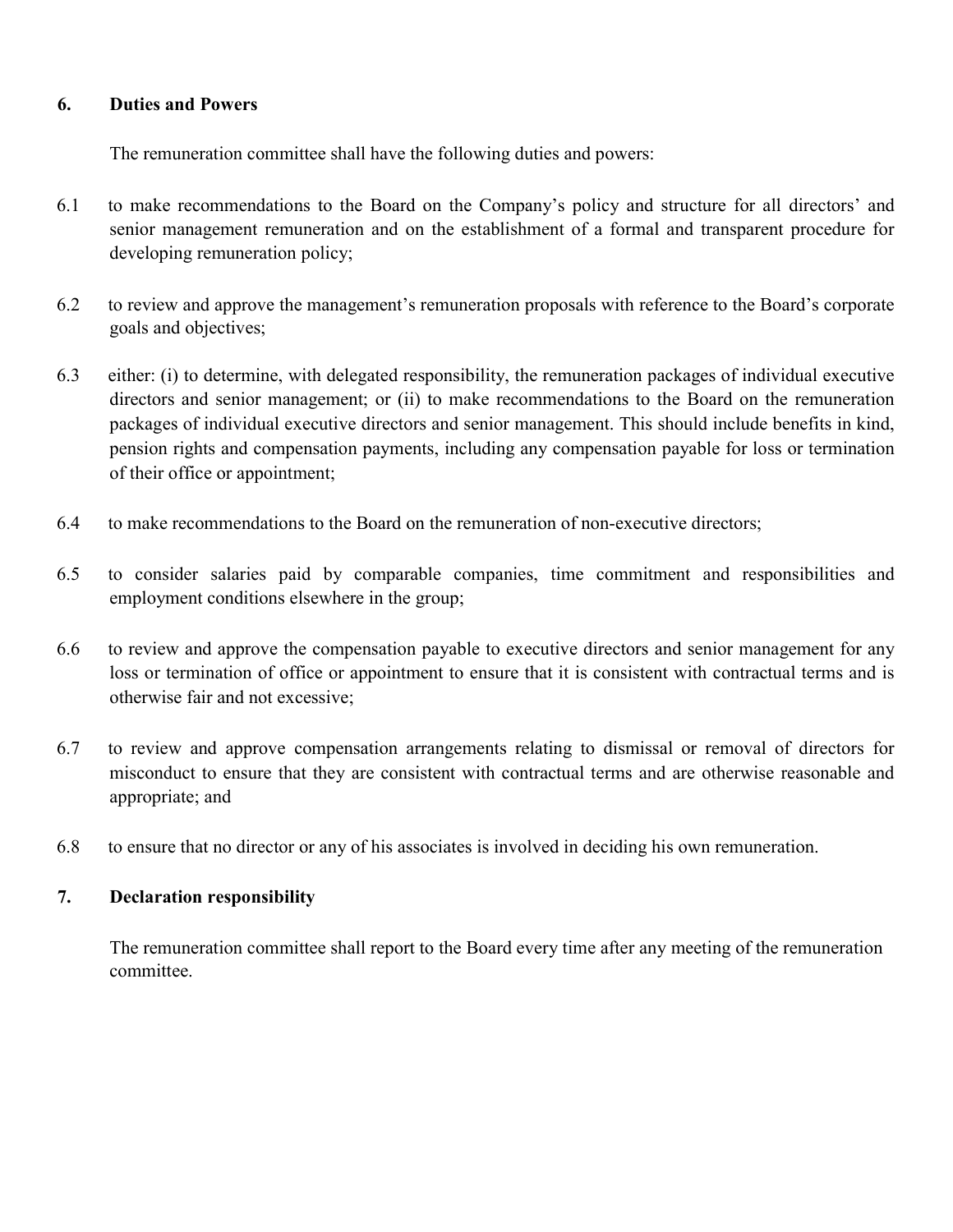#### 6. Duties and Powers

The remuneration committee shall have the following duties and powers:

- 6.1 to make recommendations to the Board on the Company's policy and structure for all directors' and senior management remuneration and on the establishment of a formal and transparent procedure for developing remuneration policy;
- 6.2 to review and approve the management's remuneration proposals with reference to the Board's corporate goals and objectives;
- 6.3 either: (i) to determine, with delegated responsibility, the remuneration packages of individual executive directors and senior management; or (ii) to make recommendations to the Board on the remuneration packages of individual executive directors and senior management. This should include benefits in kind, pension rights and compensation payments, including any compensation payable for loss or termination of their office or appointment;
- 6.4 to make recommendations to the Board on the remuneration of non-executive directors;
- 6.5 to consider salaries paid by comparable companies, time commitment and responsibilities and employment conditions elsewhere in the group;
- 6.6 to review and approve the compensation payable to executive directors and senior management for any loss or termination of office or appointment to ensure that it is consistent with contractual terms and is otherwise fair and not excessive;
- 6.7 to review and approve compensation arrangements relating to dismissal or removal of directors for misconduct to ensure that they are consistent with contractual terms and are otherwise reasonable and appropriate; and
- 6.8 to ensure that no director or any of his associates is involved in deciding his own remuneration.

## 7. Declaration responsibility

The remuneration committee shall report to the Board every time after any meeting of the remuneration committee.